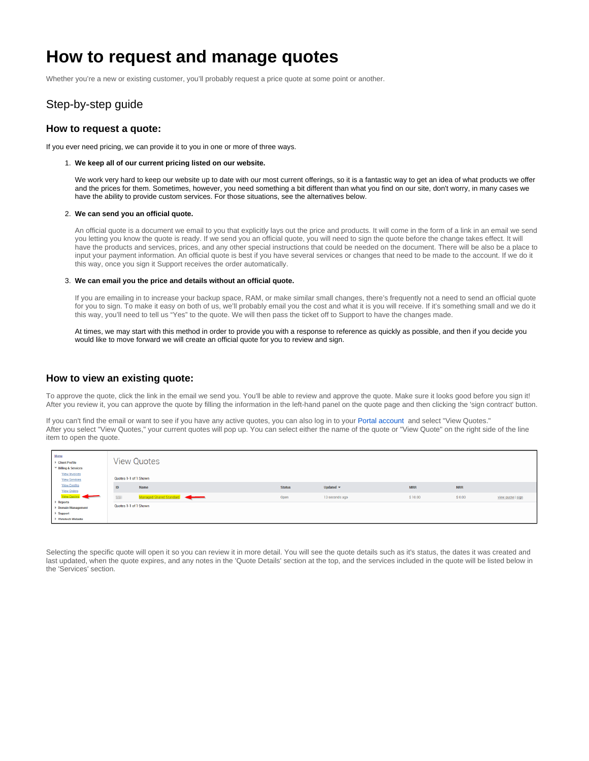# **How to request and manage quotes**

Whether you're a new or existing customer, you'll probably request a price quote at some point or another.

# Step-by-step guide

### **How to request a quote:**

If you ever need pricing, we can provide it to you in one or more of three ways.

#### 1. **We keep all of our current pricing listed on our website.**

We work very hard to keep our website up to date with our most current offerings, so it is a fantastic way to get an idea of what products we offer and the prices for them. Sometimes, however, you need something a bit different than what you find on our site, don't worry, in many cases we have the ability to provide custom services. For those situations, see the alternatives below.

#### 2. **We can send you an official quote.**

An official quote is a document we email to you that explicitly lays out the price and products. It will come in the form of a link in an email we send you letting you know the quote is ready. If we send you an official quote, you will need to sign the quote before the change takes effect. It will have the products and services, prices, and any other special instructions that could be needed on the document. There will be also be a place to input your payment information. An official quote is best if you have several services or changes that need to be made to the account. If we do it this way, once you sign it Support receives the order automatically.

#### 3. **We can email you the price and details without an official quote.**

If you are emailing in to increase your backup space, RAM, or make similar small changes, there's frequently not a need to send an official quote for you to sign. To make it easy on both of us, we'll probably email you the cost and what it is you will receive. If it's something small and we do it this way, you'll need to tell us "Yes" to the quote. We will then pass the ticket off to Support to have the changes made.

At times, we may start with this method in order to provide you with a response to reference as quickly as possible, and then if you decide you would like to move forward we will create an official quote for you to review and sign.

### **How to view an existing quote:**

To approve the quote, click the link in the email we send you. You'll be able to review and approve the quote. Make sure it looks good before you sign it! After you review it, you can approve the quote by filling the information in the left-hand panel on the quote page and then clicking the 'sign contract' button.

If you can't find the email or want to see if you have any active quotes, you can also log in to your [Portal account](https://port) and select "View Quotes." After you select "View Quotes," your current quotes will pop up. You can select either the name of the quote or "View Quote" on the right side of the line item to open the quote.

| Menu<br>Client Profile<br>▼ Billing & Services                                  |               | <b>View Quotes</b>      |               |                              |            |            |                   |
|---------------------------------------------------------------------------------|---------------|-------------------------|---------------|------------------------------|------------|------------|-------------------|
| <b>View Invoices</b><br><b>View Services</b>                                    |               | Quotes 1-1 of 1 Shown   |               |                              |            |            |                   |
| <b>View Credits</b><br><b>View Orders</b>                                       | ID            | Name                    | <b>Status</b> | Updated $\blacktriangledown$ | <b>MRR</b> | <b>NRR</b> |                   |
| View Quotes                                                                     | <b>SCRIPT</b> | Managed Shared Standard | Open          | 13 seconds ago               | \$10.00    | \$0.00     | view quote   sign |
| Reports<br>Domain Management<br>$\triangleright$ Support<br>▶ Viviotech Website |               | Quotes 1-1 of 1 Shown   |               |                              |            |            |                   |

Selecting the specific quote will open it so you can review it in more detail. You will see the quote details such as it's status, the dates it was created and last updated, when the quote expires, and any notes in the 'Quote Details' section at the top, and the services included in the quote will be listed below in the 'Services' section.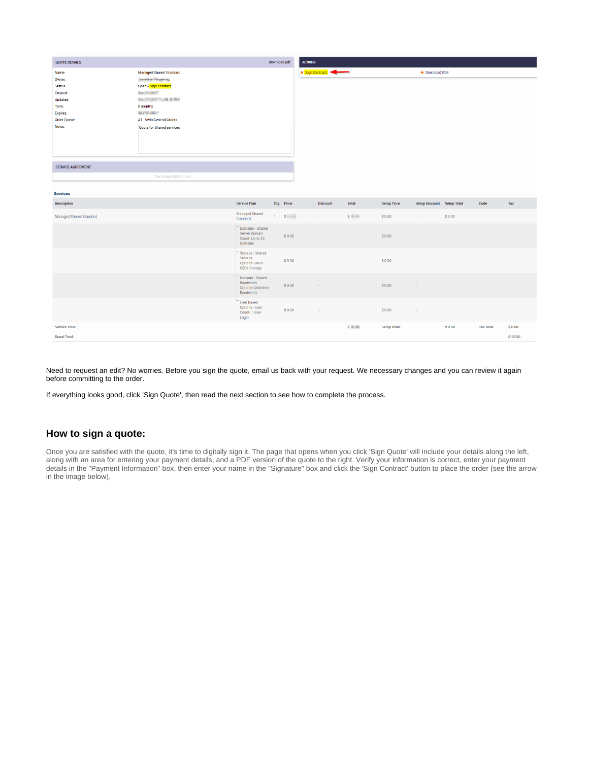| <b>QUOTE DETAILS</b>                                                                                                                 |                                                                                                                                                                                                                       |                                                                         | download pdf | <b>ACTIONS</b> |                 |              |                     |                            |        |                   |              |
|--------------------------------------------------------------------------------------------------------------------------------------|-----------------------------------------------------------------------------------------------------------------------------------------------------------------------------------------------------------------------|-------------------------------------------------------------------------|--------------|----------------|-----------------|--------------|---------------------|----------------------------|--------|-------------------|--------------|
| Name:<br>Owner:<br>Status:<br>Created:<br>Updated:<br>Term:<br>Expires:<br><b>Order Queue:</b><br>Notes:<br><b>SERVICE AGREEMENT</b> | <b>Managed Shared Standard</b><br>Javaillan Regeles<br>Open - sign contract<br><b>CALCULARS</b><br><b>GACPIERT CHEENE</b><br>0 months<br><b>DESCRIPTION</b><br>#1 - Vivio General Orders<br>Quote for Shared services |                                                                         |              |                | Sign Contract   |              |                     | <b>• Download PDF</b>      |        |                   |              |
|                                                                                                                                      | No default MSA found                                                                                                                                                                                                  |                                                                         |              |                |                 |              |                     |                            |        |                   |              |
| <b>Services</b>                                                                                                                      |                                                                                                                                                                                                                       |                                                                         |              |                |                 |              |                     |                            |        |                   |              |
| <b>Description</b>                                                                                                                   |                                                                                                                                                                                                                       | <b>Service Plan</b>                                                     | Qty Price    |                | <b>Discount</b> | <b>Total</b> | <b>Setup Price</b>  | Setup Discount Setup Total |        | Code              | Tax          |
| <b>Managed Shared Standard</b>                                                                                                       |                                                                                                                                                                                                                       | <b>Managed Shared</b><br>Standard                                       |              | 1 S            | $\sim$          | S            | \$0.00              | $\sim$                     | \$0.00 |                   |              |
|                                                                                                                                      |                                                                                                                                                                                                                       | Domains - Shared<br>Server Domain<br>Count: Up to 25<br>Domains         |              | \$0.00         | $\sim$          |              | \$0.00              | ×.                         |        |                   |              |
|                                                                                                                                      |                                                                                                                                                                                                                       | Storage - Shared<br>Storage<br>Options: 20GB<br>SSDe Storage            |              | \$0.00         | $\sim$          |              | \$0.00              | $\sim$                     |        |                   |              |
|                                                                                                                                      |                                                                                                                                                                                                                       | Network - Shared<br>Bandwidth<br><b>Options: Unlimited</b><br>Bandwidth |              | \$0.00         |                 |              | \$0.00              | ÷                          |        |                   |              |
|                                                                                                                                      |                                                                                                                                                                                                                       | <b>User Based</b><br><b>Options - User</b><br>Count: 1 User<br>Login    |              | \$0.00         | $\sim$          |              | \$0.00              | $\sim$                     |        |                   |              |
| <b>Service Total:</b>                                                                                                                |                                                                                                                                                                                                                       |                                                                         |              |                |                 | $s = -$      | <b>Setup Total:</b> |                            | \$0.00 | <b>Tax Total:</b> | \$0.00       |
| <b>Grand Total:</b>                                                                                                                  |                                                                                                                                                                                                                       |                                                                         |              |                |                 |              |                     |                            |        |                   | $s$ $\cdots$ |

Need to request an edit? No worries. Before you sign the quote, email us back with your request. We necessary changes and you can review it again before committing to the order.

If everything looks good, click 'Sign Quote', then read the next section to see how to complete the process.

## **How to sign a quote:**

Once you are satisfied with the quote, it's time to digitally sign it. The page that opens when you click 'Sign Quote' will include your details along the left, along with an area for entering your payment details, and a PDF version of the quote to the right. Verify your information is correct, enter your payment details in the "Payment Information" box, then enter your name in the "Signature" box and click the 'Sign Contract' button to place the order (see the arrow in the image below).